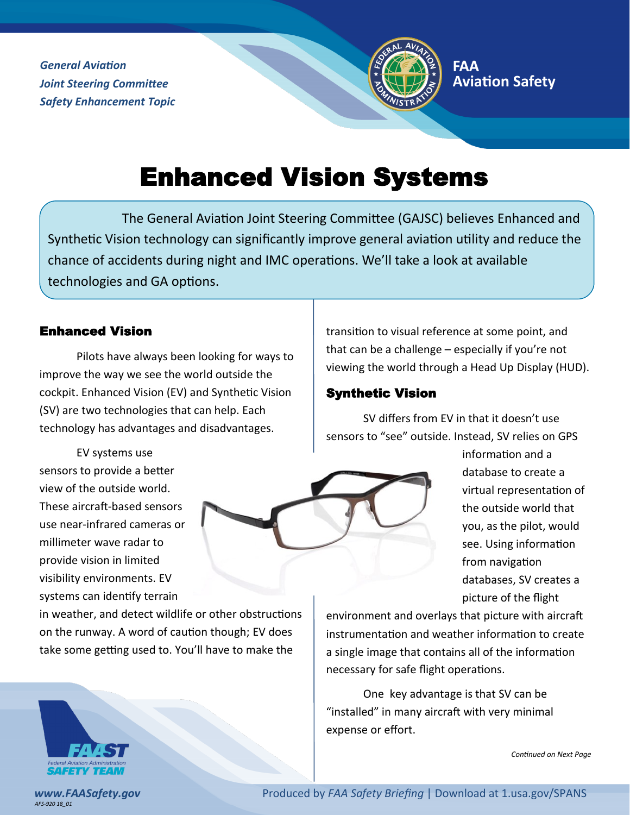*General Aviation Joint Steering Committee Safety Enhancement Topic*



# Enhanced Vision Systems

The General Aviation Joint Steering Committee (GAJSC) believes Enhanced and Synthetic Vision technology can significantly improve general aviation utility and reduce the chance of accidents during night and IMC operations. We'll take a look at available technologies and GA options.

#### Enhanced Vision

Pilots have always been looking for ways to improve the way we see the world outside the cockpit. Enhanced Vision (EV) and Synthetic Vision (SV) are two technologies that can help. Each technology has advantages and disadvantages.

EV systems use sensors to provide a better view of the outside world. These aircraft-based sensors use near-infrared cameras or millimeter wave radar to provide vision in limited visibility environments. EV systems can identify terrain

in weather, and detect wildlife or other obstructions on the runway. A word of caution though; EV does take some getting used to. You'll have to make the

transition to visual reference at some point, and that can be a challenge – especially if you're not viewing the world through a Head Up Display (HUD).

#### Synthetic Vision

SV differs from EV in that it doesn't use sensors to "see" outside. Instead, SV relies on GPS

> information and a database to create a virtual representation of the outside world that you, as the pilot, would see. Using information from navigation databases, SV creates a picture of the flight

environment and overlays that picture with aircraft instrumentation and weather information to create a single image that contains all of the information necessary for safe flight operations.

One key advantage is that SV can be "installed" in many aircraft with very minimal expense or effort.

*Continued on Next Page*



*AFS-920 18\_01*